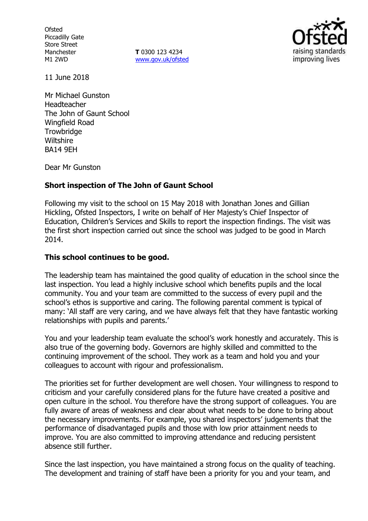**Ofsted** Piccadilly Gate Store Street Manchester M1 2WD

**T** 0300 123 4234 www.gov.uk/ofsted



11 June 2018

Mr Michael Gunston Headteacher The John of Gaunt School Wingfield Road **Trowbridge Wiltshire** BA14 9EH

Dear Mr Gunston

## **Short inspection of The John of Gaunt School**

Following my visit to the school on 15 May 2018 with Jonathan Jones and Gillian Hickling, Ofsted Inspectors, I write on behalf of Her Majesty's Chief Inspector of Education, Children's Services and Skills to report the inspection findings. The visit was the first short inspection carried out since the school was judged to be good in March 2014.

### **This school continues to be good.**

The leadership team has maintained the good quality of education in the school since the last inspection. You lead a highly inclusive school which benefits pupils and the local community. You and your team are committed to the success of every pupil and the school's ethos is supportive and caring. The following parental comment is typical of many: 'All staff are very caring, and we have always felt that they have fantastic working relationships with pupils and parents.'

You and your leadership team evaluate the school's work honestly and accurately. This is also true of the governing body. Governors are highly skilled and committed to the continuing improvement of the school. They work as a team and hold you and your colleagues to account with rigour and professionalism.

The priorities set for further development are well chosen. Your willingness to respond to criticism and your carefully considered plans for the future have created a positive and open culture in the school. You therefore have the strong support of colleagues. You are fully aware of areas of weakness and clear about what needs to be done to bring about the necessary improvements. For example, you shared inspectors' judgements that the performance of disadvantaged pupils and those with low prior attainment needs to improve. You are also committed to improving attendance and reducing persistent absence still further.

Since the last inspection, you have maintained a strong focus on the quality of teaching. The development and training of staff have been a priority for you and your team, and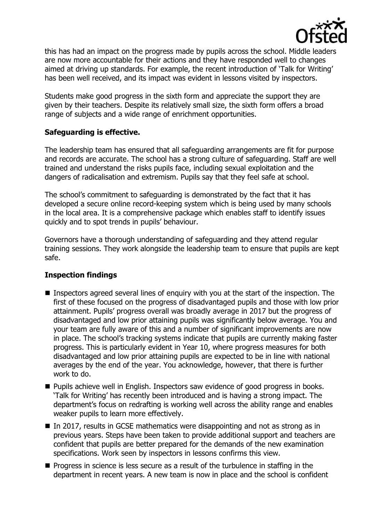

this has had an impact on the progress made by pupils across the school. Middle leaders are now more accountable for their actions and they have responded well to changes aimed at driving up standards. For example, the recent introduction of 'Talk for Writing' has been well received, and its impact was evident in lessons visited by inspectors.

Students make good progress in the sixth form and appreciate the support they are given by their teachers. Despite its relatively small size, the sixth form offers a broad range of subjects and a wide range of enrichment opportunities.

### **Safeguarding is effective.**

The leadership team has ensured that all safeguarding arrangements are fit for purpose and records are accurate. The school has a strong culture of safeguarding. Staff are well trained and understand the risks pupils face, including sexual exploitation and the dangers of radicalisation and extremism. Pupils say that they feel safe at school.

The school's commitment to safeguarding is demonstrated by the fact that it has developed a secure online record-keeping system which is being used by many schools in the local area. It is a comprehensive package which enables staff to identify issues quickly and to spot trends in pupils' behaviour.

Governors have a thorough understanding of safeguarding and they attend regular training sessions. They work alongside the leadership team to ensure that pupils are kept safe.

# **Inspection findings**

- Inspectors agreed several lines of enguiry with you at the start of the inspection. The first of these focused on the progress of disadvantaged pupils and those with low prior attainment. Pupils' progress overall was broadly average in 2017 but the progress of disadvantaged and low prior attaining pupils was significantly below average. You and your team are fully aware of this and a number of significant improvements are now in place. The school's tracking systems indicate that pupils are currently making faster progress. This is particularly evident in Year 10, where progress measures for both disadvantaged and low prior attaining pupils are expected to be in line with national averages by the end of the year. You acknowledge, however, that there is further work to do.
- **Pupils achieve well in English. Inspectors saw evidence of good progress in books.** 'Talk for Writing' has recently been introduced and is having a strong impact. The department's focus on redrafting is working well across the ability range and enables weaker pupils to learn more effectively.
- In 2017, results in GCSE mathematics were disappointing and not as strong as in previous years. Steps have been taken to provide additional support and teachers are confident that pupils are better prepared for the demands of the new examination specifications. Work seen by inspectors in lessons confirms this view.
- $\blacksquare$  Progress in science is less secure as a result of the turbulence in staffing in the department in recent years. A new team is now in place and the school is confident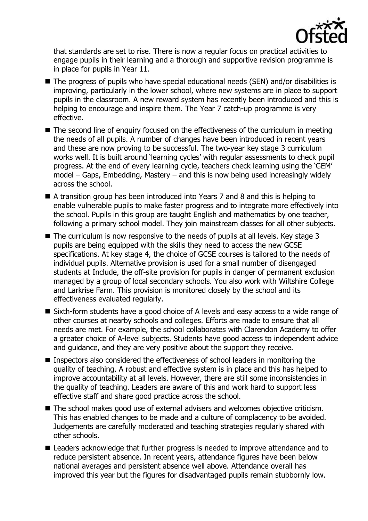

that standards are set to rise. There is now a regular focus on practical activities to engage pupils in their learning and a thorough and supportive revision programme is in place for pupils in Year 11.

- The progress of pupils who have special educational needs (SEN) and/or disabilities is improving, particularly in the lower school, where new systems are in place to support pupils in the classroom. A new reward system has recently been introduced and this is helping to encourage and inspire them. The Year 7 catch-up programme is very effective.
- The second line of enquiry focused on the effectiveness of the curriculum in meeting the needs of all pupils. A number of changes have been introduced in recent years and these are now proving to be successful. The two-year key stage 3 curriculum works well. It is built around 'learning cycles' with regular assessments to check pupil progress. At the end of every learning cycle, teachers check learning using the 'GEM' model – Gaps, Embedding, Mastery – and this is now being used increasingly widely across the school.
- A transition group has been introduced into Years 7 and 8 and this is helping to enable vulnerable pupils to make faster progress and to integrate more effectively into the school. Pupils in this group are taught English and mathematics by one teacher, following a primary school model. They join mainstream classes for all other subjects.
- $\blacksquare$  The curriculum is now responsive to the needs of pupils at all levels. Key stage 3 pupils are being equipped with the skills they need to access the new GCSE specifications. At key stage 4, the choice of GCSE courses is tailored to the needs of individual pupils. Alternative provision is used for a small number of disengaged students at Include, the off-site provision for pupils in danger of permanent exclusion managed by a group of local secondary schools. You also work with Wiltshire College and Larkrise Farm. This provision is monitored closely by the school and its effectiveness evaluated regularly.
- Sixth-form students have a good choice of A levels and easy access to a wide range of other courses at nearby schools and colleges. Efforts are made to ensure that all needs are met. For example, the school collaborates with Clarendon Academy to offer a greater choice of A-level subjects. Students have good access to independent advice and guidance, and they are very positive about the support they receive.
- Inspectors also considered the effectiveness of school leaders in monitoring the quality of teaching. A robust and effective system is in place and this has helped to improve accountability at all levels. However, there are still some inconsistencies in the quality of teaching. Leaders are aware of this and work hard to support less effective staff and share good practice across the school.
- The school makes good use of external advisers and welcomes objective criticism. This has enabled changes to be made and a culture of complacency to be avoided. Judgements are carefully moderated and teaching strategies regularly shared with other schools.
- Leaders acknowledge that further progress is needed to improve attendance and to reduce persistent absence. In recent years, attendance figures have been below national averages and persistent absence well above. Attendance overall has improved this year but the figures for disadvantaged pupils remain stubbornly low.